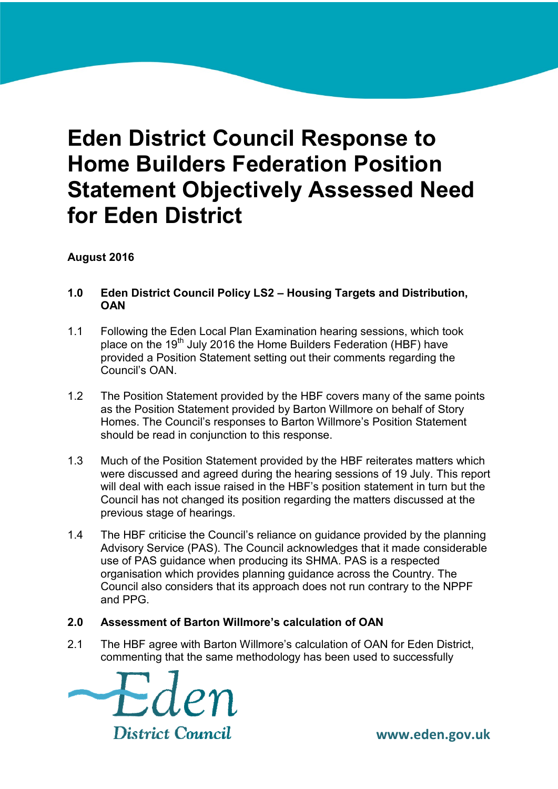# **Eden District Council Response to Home Builders Federation Position Statement Objectively Assessed Need for Eden District**

**August 2016**

- **1.0 Eden District Council Policy LS2 – Housing Targets and Distribution, OAN**
- 1.1 Following the Eden Local Plan Examination hearing sessions, which took place on the 19<sup>th</sup> July 2016 the Home Builders Federation (HBF) have provided a Position Statement setting out their comments regarding the Council's OAN.
- 1.2 The Position Statement provided by the HBF covers many of the same points as the Position Statement provided by Barton Willmore on behalf of Story Homes. The Council's responses to Barton Willmore's Position Statement should be read in conjunction to this response.
- 1.3 Much of the Position Statement provided by the HBF reiterates matters which were discussed and agreed during the hearing sessions of 19 July. This report will deal with each issue raised in the HBF's position statement in turn but the Council has not changed its position regarding the matters discussed at the previous stage of hearings.
- 1.4 The HBF criticise the Council's reliance on guidance provided by the planning Advisory Service (PAS). The Council acknowledges that it made considerable use of PAS guidance when producing its SHMA. PAS is a respected organisation which provides planning guidance across the Country. The Council also considers that its approach does not run contrary to the NPPF and PPG.

# **2.0 Assessment of Barton Willmore's calculation of OAN**

2.1 The HBF agree with Barton Willmore's calculation of OAN for Eden District, commenting that the same methodology has been used to successfully

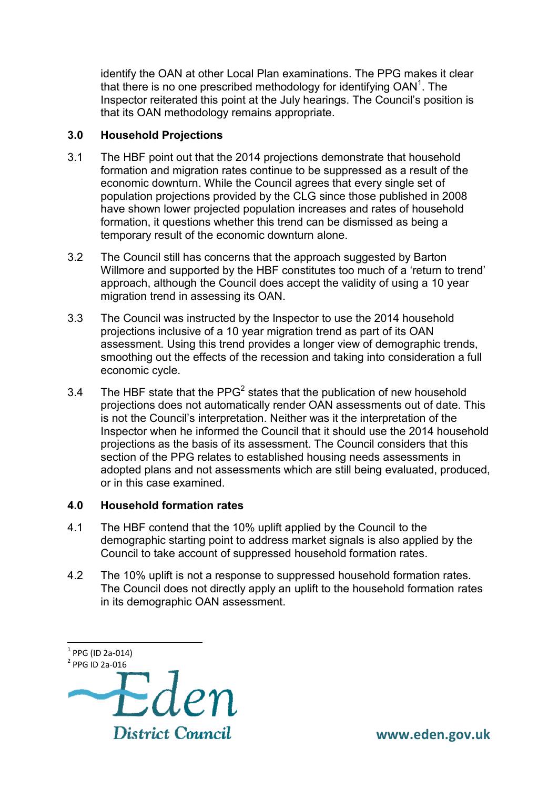identify the OAN at other Local Plan examinations. The PPG makes it clear that there is no one prescribed methodology for identifying  $OAN<sup>1</sup>$ . The Inspector reiterated this point at the July hearings. The Council's position is that its OAN methodology remains appropriate.

## **3.0 Household Projections**

- 3.1 The HBF point out that the 2014 projections demonstrate that household formation and migration rates continue to be suppressed as a result of the economic downturn. While the Council agrees that every single set of population projections provided by the CLG since those published in 2008 have shown lower projected population increases and rates of household formation, it questions whether this trend can be dismissed as being a temporary result of the economic downturn alone.
- 3.2 The Council still has concerns that the approach suggested by Barton Willmore and supported by the HBF constitutes too much of a 'return to trend' approach, although the Council does accept the validity of using a 10 year migration trend in assessing its OAN.
- 3.3 The Council was instructed by the Inspector to use the 2014 household projections inclusive of a 10 year migration trend as part of its OAN assessment. Using this trend provides a longer view of demographic trends, smoothing out the effects of the recession and taking into consideration a full economic cycle.
- 3.4 The HBF state that the PPG<sup>2</sup> states that the publication of new household projections does not automatically render OAN assessments out of date. This is not the Council's interpretation. Neither was it the interpretation of the Inspector when he informed the Council that it should use the 2014 household projections as the basis of its assessment. The Council considers that this section of the PPG relates to established housing needs assessments in adopted plans and not assessments which are still being evaluated, produced, or in this case examined.

#### **4.0 Household formation rates**

- 4.1 The HBF contend that the 10% uplift applied by the Council to the demographic starting point to address market signals is also applied by the Council to take account of suppressed household formation rates.
- 4.2 The 10% uplift is not a response to suppressed household formation rates. The Council does not directly apply an uplift to the household formation rates in its demographic OAN assessment.



 $\overline{a}$ 

 **www.eden.gov.uk**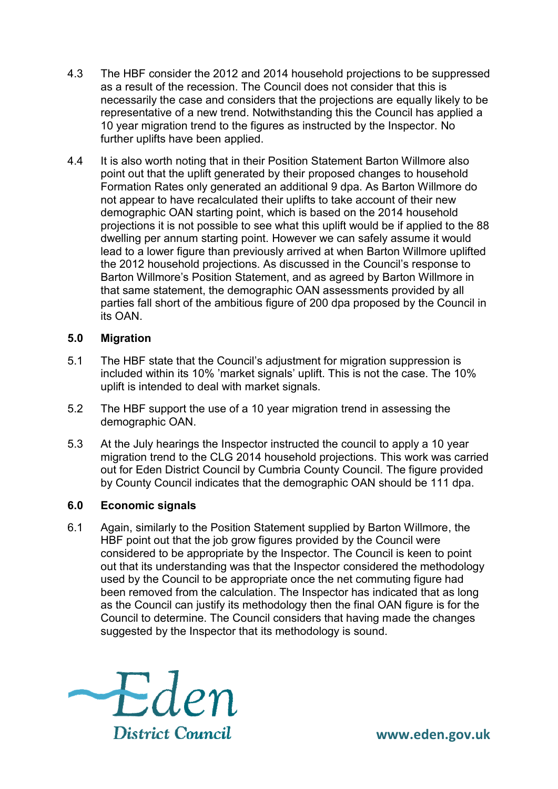- 4.3 The HBF consider the 2012 and 2014 household projections to be suppressed as a result of the recession. The Council does not consider that this is necessarily the case and considers that the projections are equally likely to be representative of a new trend. Notwithstanding this the Council has applied a 10 year migration trend to the figures as instructed by the Inspector. No further uplifts have been applied.
- 4.4 It is also worth noting that in their Position Statement Barton Willmore also point out that the uplift generated by their proposed changes to household Formation Rates only generated an additional 9 dpa. As Barton Willmore do not appear to have recalculated their uplifts to take account of their new demographic OAN starting point, which is based on the 2014 household projections it is not possible to see what this uplift would be if applied to the 88 dwelling per annum starting point. However we can safely assume it would lead to a lower figure than previously arrived at when Barton Willmore uplifted the 2012 household projections. As discussed in the Council's response to Barton Willmore's Position Statement, and as agreed by Barton Willmore in that same statement, the demographic OAN assessments provided by all parties fall short of the ambitious figure of 200 dpa proposed by the Council in its OAN.

#### **5.0 Migration**

- 5.1 The HBF state that the Council's adjustment for migration suppression is included within its 10% 'market signals' uplift. This is not the case. The 10% uplift is intended to deal with market signals.
- 5.2 The HBF support the use of a 10 year migration trend in assessing the demographic OAN.
- 5.3 At the July hearings the Inspector instructed the council to apply a 10 year migration trend to the CLG 2014 household projections. This work was carried out for Eden District Council by Cumbria County Council. The figure provided by County Council indicates that the demographic OAN should be 111 dpa.

# **6.0 Economic signals**

6.1 Again, similarly to the Position Statement supplied by Barton Willmore, the HBF point out that the job grow figures provided by the Council were considered to be appropriate by the Inspector. The Council is keen to point out that its understanding was that the Inspector considered the methodology used by the Council to be appropriate once the net commuting figure had been removed from the calculation. The Inspector has indicated that as long as the Council can justify its methodology then the final OAN figure is for the Council to determine. The Council considers that having made the changes suggested by the Inspector that its methodology is sound.



 **www.eden.gov.uk**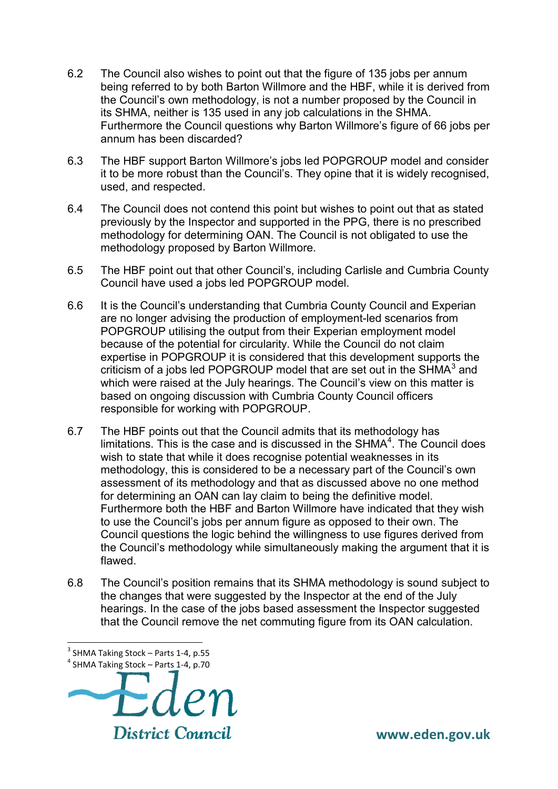- 6.2 The Council also wishes to point out that the figure of 135 jobs per annum being referred to by both Barton Willmore and the HBF, while it is derived from the Council's own methodology, is not a number proposed by the Council in its SHMA, neither is 135 used in any job calculations in the SHMA. Furthermore the Council questions why Barton Willmore's figure of 66 jobs per annum has been discarded?
- 6.3 The HBF support Barton Willmore's jobs led POPGROUP model and consider it to be more robust than the Council's. They opine that it is widely recognised, used, and respected.
- 6.4 The Council does not contend this point but wishes to point out that as stated previously by the Inspector and supported in the PPG, there is no prescribed methodology for determining OAN. The Council is not obligated to use the methodology proposed by Barton Willmore.
- 6.5 The HBF point out that other Council's, including Carlisle and Cumbria County Council have used a jobs led POPGROUP model.
- 6.6 It is the Council's understanding that Cumbria County Council and Experian are no longer advising the production of employment-led scenarios from POPGROUP utilising the output from their Experian employment model because of the potential for circularity. While the Council do not claim expertise in POPGROUP it is considered that this development supports the criticism of a jobs led POPGROUP model that are set out in the SHMA $^3$  and which were raised at the July hearings. The Council's view on this matter is based on ongoing discussion with Cumbria County Council officers responsible for working with POPGROUP.
- 6.7 The HBF points out that the Council admits that its methodology has limitations. This is the case and is discussed in the SHMA $4$ . The Council does wish to state that while it does recognise potential weaknesses in its methodology, this is considered to be a necessary part of the Council's own assessment of its methodology and that as discussed above no one method for determining an OAN can lay claim to being the definitive model. Furthermore both the HBF and Barton Willmore have indicated that they wish to use the Council's jobs per annum figure as opposed to their own. The Council questions the logic behind the willingness to use figures derived from the Council's methodology while simultaneously making the argument that it is flawed.
- 6.8 The Council's position remains that its SHMA methodology is sound subject to the changes that were suggested by the Inspector at the end of the July hearings. In the case of the jobs based assessment the Inspector suggested that the Council remove the net commuting figure from its OAN calculation.

 $\overline{a}$ 

<sup>4</sup> SHMA Taking Stock – Parts 1-4, p.70



 $3$  SHMA Taking Stock – Parts 1-4, p.55